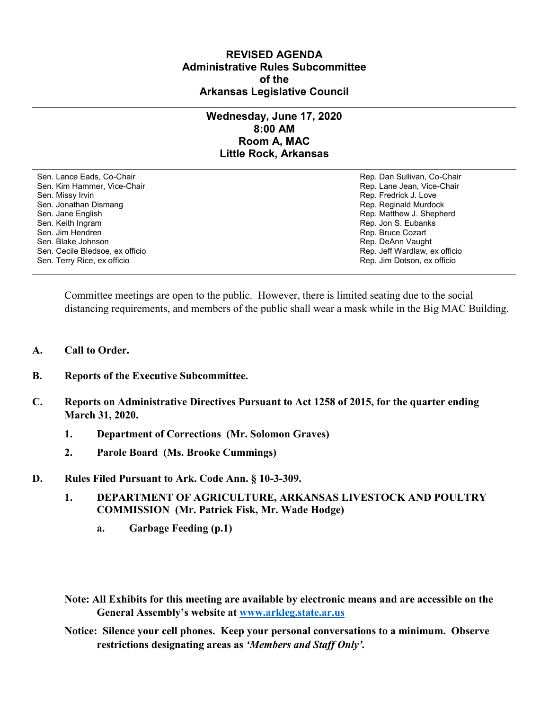## **REVISED AGENDA Administrative Rules Subcommittee of the Arkansas Legislative Council**

## **Wednesday, June 17, 2020 8:00 AM Room A, MAC Little Rock, Arkansas**

Sen. Lance Eads, Co-Chair Rep. Dan Sullivan, Co-Chair Sen. Kim Hammer, Vice-Chair **Rep. Lane Jean, Vice-Chair** Rep. Lane Jean, Vice-Chair Sen. Missy Irvin New York 1, 2008 and the sense of the sense of the Sense of Technical Sense of Technical Australian Sense of Technical Australian Sense of Technical Australian Sense of Technical Australian Sense of Techni Sen. Jonathan Dismang Rep. Reginald Murdock Sen. Jane English Rep. Matthew J. Shepherd Rep. Matthew J. Shepherd Sen. Keith Ingram Rep. Jon S. Eubanks (Sen. Keith Ingram Rep. Jon S. Eubanks (Sen. Jon S. Eubanks (Sen. Jon S. Eubanks (Sen. Jon S. Eubanks (Sen. Jon S. Eubanks (Sen. Jon S. Eubanks (Sen. Jon S. Eubanks (Sen. Jon S. Eubank Sen. Blake Johnson **Rep. DeAnn Vaught** Communication Communication Communication Communication Communication Communication Communication Communication Communication Communication Communication Communication Communication C Sen. Cecile Bledsoe, ex officio **Rep. 1998** Cecile Bledsoe, ex officio Rep. Jeff Wardlaw, ex officio Sen. Terry Rice, ex officio Rep. Jim Dotson, ex officio

Rep. Bruce Cozart

Committee meetings are open to the public. However, there is limited seating due to the social distancing requirements, and members of the public shall wear a mask while in the Big MAC Building.

- **A. Call to Order.**
- **B. Reports of the Executive Subcommittee.**
- **C. Reports on Administrative Directives Pursuant to Act 1258 of 2015, for the quarter ending March 31, 2020.**
	- **1. Department of Corrections (Mr. Solomon Graves)**
	- **2. Parole Board (Ms. Brooke Cummings)**
- **D. Rules Filed Pursuant to Ark. Code Ann. § 10-3-309.**
	- **1. DEPARTMENT OF AGRICULTURE, ARKANSAS LIVESTOCK AND POULTRY COMMISSION (Mr. Patrick Fisk, Mr. Wade Hodge)**
		- **a. Garbage Feeding (p.1)**
	- **Note: All Exhibits for this meeting are available by electronic means and are accessible on the General Assembly's website at [www.arkleg.state.ar.us](http://www.arkleg.state.ar.us/)**

**Notice: Silence your cell phones. Keep your personal conversations to a minimum. Observe restrictions designating areas as** *'Members and Staff Only'.*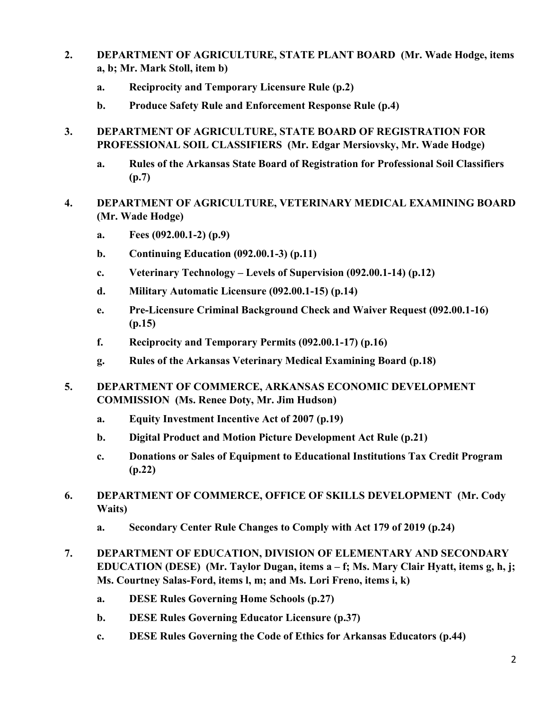- **2. DEPARTMENT OF AGRICULTURE, STATE PLANT BOARD (Mr. Wade Hodge, items a, b; Mr. Mark Stoll, item b)**
	- **a. Reciprocity and Temporary Licensure Rule (p.2)**
	- **b. Produce Safety Rule and Enforcement Response Rule (p.4)**
- **3. DEPARTMENT OF AGRICULTURE, STATE BOARD OF REGISTRATION FOR PROFESSIONAL SOIL CLASSIFIERS (Mr. Edgar Mersiovsky, Mr. Wade Hodge)**
	- **a. Rules of the Arkansas State Board of Registration for Professional Soil Classifiers (p.7)**
- **4. DEPARTMENT OF AGRICULTURE, VETERINARY MEDICAL EXAMINING BOARD (Mr. Wade Hodge)**
	- **a. Fees (092.00.1-2) (p.9)**
	- **b. Continuing Education (092.00.1-3) (p.11)**
	- **c. Veterinary Technology – Levels of Supervision (092.00.1-14) (p.12)**
	- **d. Military Automatic Licensure (092.00.1-15) (p.14)**
	- **e. Pre-Licensure Criminal Background Check and Waiver Request (092.00.1-16) (p.15)**
	- **f. Reciprocity and Temporary Permits (092.00.1-17) (p.16)**
	- **g. Rules of the Arkansas Veterinary Medical Examining Board (p.18)**
- **5. DEPARTMENT OF COMMERCE, ARKANSAS ECONOMIC DEVELOPMENT COMMISSION (Ms. Renee Doty, Mr. Jim Hudson)**
	- **a. Equity Investment Incentive Act of 2007 (p.19)**
	- **b. Digital Product and Motion Picture Development Act Rule (p.21)**
	- **c. Donations or Sales of Equipment to Educational Institutions Tax Credit Program (p.22)**
- **6. DEPARTMENT OF COMMERCE, OFFICE OF SKILLS DEVELOPMENT (Mr. Cody Waits)**
	- **a. Secondary Center Rule Changes to Comply with Act 179 of 2019 (p.24)**
- **7. DEPARTMENT OF EDUCATION, DIVISION OF ELEMENTARY AND SECONDARY EDUCATION (DESE) (Mr. Taylor Dugan, items a – f; Ms. Mary Clair Hyatt, items g, h, j; Ms. Courtney Salas-Ford, items l, m; and Ms. Lori Freno, items i, k)**
	- **a. DESE Rules Governing Home Schools (p.27)**
	- **b. DESE Rules Governing Educator Licensure (p.37)**
	- **c. DESE Rules Governing the Code of Ethics for Arkansas Educators (p.44)**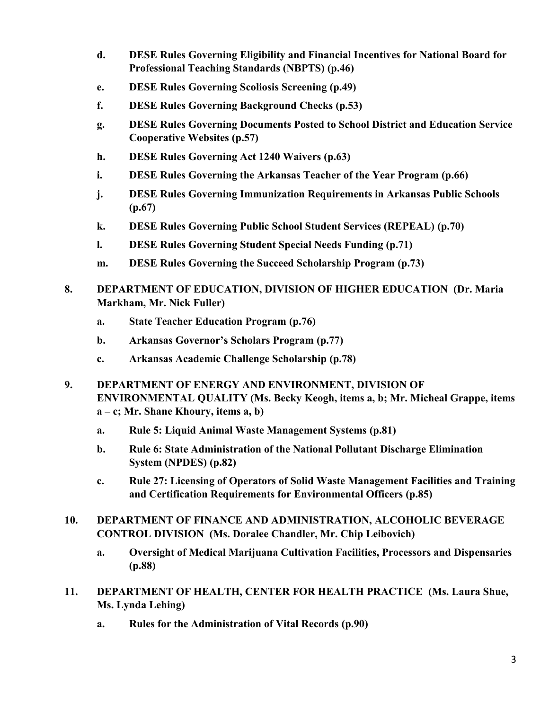- **d. DESE Rules Governing Eligibility and Financial Incentives for National Board for Professional Teaching Standards (NBPTS) (p.46)**
- **e. DESE Rules Governing Scoliosis Screening (p.49)**
- **f. DESE Rules Governing Background Checks (p.53)**
- **g. DESE Rules Governing Documents Posted to School District and Education Service Cooperative Websites (p.57)**
- **h. DESE Rules Governing Act 1240 Waivers (p.63)**
- **i. DESE Rules Governing the Arkansas Teacher of the Year Program (p.66)**
- **j. DESE Rules Governing Immunization Requirements in Arkansas Public Schools (p.67)**
- **k. DESE Rules Governing Public School Student Services (REPEAL) (p.70)**
- **l. DESE Rules Governing Student Special Needs Funding (p.71)**
- **m. DESE Rules Governing the Succeed Scholarship Program (p.73)**
- **8. DEPARTMENT OF EDUCATION, DIVISION OF HIGHER EDUCATION (Dr. Maria Markham, Mr. Nick Fuller)**
	- **a. State Teacher Education Program (p.76)**
	- **b. Arkansas Governor's Scholars Program (p.77)**
	- **c. Arkansas Academic Challenge Scholarship (p.78)**
- **9. DEPARTMENT OF ENERGY AND ENVIRONMENT, DIVISION OF ENVIRONMENTAL QUALITY (Ms. Becky Keogh, items a, b; Mr. Micheal Grappe, items a – c; Mr. Shane Khoury, items a, b)**
	- **a. Rule 5: Liquid Animal Waste Management Systems (p.81)**
	- **b. Rule 6: State Administration of the National Pollutant Discharge Elimination System (NPDES) (p.82)**
	- **c. Rule 27: Licensing of Operators of Solid Waste Management Facilities and Training and Certification Requirements for Environmental Officers (p.85)**
- **10. DEPARTMENT OF FINANCE AND ADMINISTRATION, ALCOHOLIC BEVERAGE CONTROL DIVISION (Ms. Doralee Chandler, Mr. Chip Leibovich)**
	- **a. Oversight of Medical Marijuana Cultivation Facilities, Processors and Dispensaries (p.88)**
- **11. DEPARTMENT OF HEALTH, CENTER FOR HEALTH PRACTICE (Ms. Laura Shue, Ms. Lynda Lehing)**
	- **a. Rules for the Administration of Vital Records (p.90)**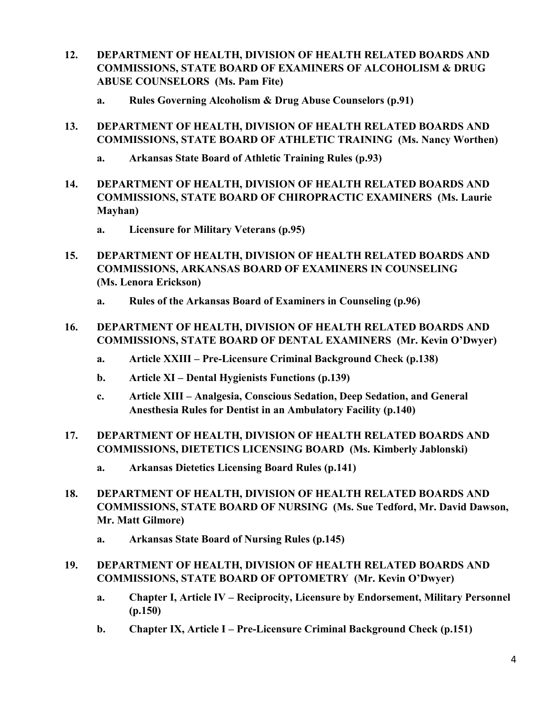- **12. DEPARTMENT OF HEALTH, DIVISION OF HEALTH RELATED BOARDS AND COMMISSIONS, STATE BOARD OF EXAMINERS OF ALCOHOLISM & DRUG ABUSE COUNSELORS (Ms. Pam Fite)**
	- **a. Rules Governing Alcoholism & Drug Abuse Counselors (p.91)**
- **13. DEPARTMENT OF HEALTH, DIVISION OF HEALTH RELATED BOARDS AND COMMISSIONS, STATE BOARD OF ATHLETIC TRAINING (Ms. Nancy Worthen)**
	- **a. Arkansas State Board of Athletic Training Rules (p.93)**
- **14. DEPARTMENT OF HEALTH, DIVISION OF HEALTH RELATED BOARDS AND COMMISSIONS, STATE BOARD OF CHIROPRACTIC EXAMINERS (Ms. Laurie Mayhan)**
	- **a. Licensure for Military Veterans (p.95)**
- **15. DEPARTMENT OF HEALTH, DIVISION OF HEALTH RELATED BOARDS AND COMMISSIONS, ARKANSAS BOARD OF EXAMINERS IN COUNSELING (Ms. Lenora Erickson)**
	- **a. Rules of the Arkansas Board of Examiners in Counseling (p.96)**
- **16. DEPARTMENT OF HEALTH, DIVISION OF HEALTH RELATED BOARDS AND COMMISSIONS, STATE BOARD OF DENTAL EXAMINERS (Mr. Kevin O'Dwyer)**
	- **a. Article XXIII – Pre-Licensure Criminal Background Check (p.138)**
	- **b. Article XI – Dental Hygienists Functions (p.139)**
	- **c. Article XIII – Analgesia, Conscious Sedation, Deep Sedation, and General Anesthesia Rules for Dentist in an Ambulatory Facility (p.140)**
- **17. DEPARTMENT OF HEALTH, DIVISION OF HEALTH RELATED BOARDS AND COMMISSIONS, DIETETICS LICENSING BOARD (Ms. Kimberly Jablonski)**
	- **a. Arkansas Dietetics Licensing Board Rules (p.141)**
- **18. DEPARTMENT OF HEALTH, DIVISION OF HEALTH RELATED BOARDS AND COMMISSIONS, STATE BOARD OF NURSING (Ms. Sue Tedford, Mr. David Dawson, Mr. Matt Gilmore)**
	- **a. Arkansas State Board of Nursing Rules (p.145)**

## **19. DEPARTMENT OF HEALTH, DIVISION OF HEALTH RELATED BOARDS AND COMMISSIONS, STATE BOARD OF OPTOMETRY (Mr. Kevin O'Dwyer)**

- **a. Chapter I, Article IV – Reciprocity, Licensure by Endorsement, Military Personnel (p.150)**
- **b. Chapter IX, Article I Pre-Licensure Criminal Background Check (p.151)**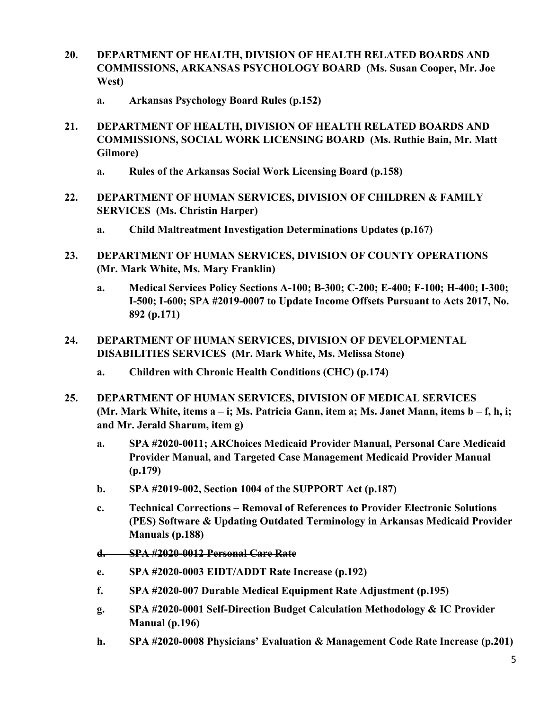- **20. DEPARTMENT OF HEALTH, DIVISION OF HEALTH RELATED BOARDS AND COMMISSIONS, ARKANSAS PSYCHOLOGY BOARD (Ms. Susan Cooper, Mr. Joe West)**
	- **a. Arkansas Psychology Board Rules (p.152)**
- **21. DEPARTMENT OF HEALTH, DIVISION OF HEALTH RELATED BOARDS AND COMMISSIONS, SOCIAL WORK LICENSING BOARD (Ms. Ruthie Bain, Mr. Matt Gilmore)**
	- **a. Rules of the Arkansas Social Work Licensing Board (p.158)**
- **22. DEPARTMENT OF HUMAN SERVICES, DIVISION OF CHILDREN & FAMILY SERVICES (Ms. Christin Harper)**
	- **a. Child Maltreatment Investigation Determinations Updates (p.167)**
- **23. DEPARTMENT OF HUMAN SERVICES, DIVISION OF COUNTY OPERATIONS (Mr. Mark White, Ms. Mary Franklin)**
	- **a. Medical Services Policy Sections A-100; B-300; C-200; E-400; F-100; H-400; I-300; I-500; I-600; SPA #2019-0007 to Update Income Offsets Pursuant to Acts 2017, No. 892 (p.171)**
- **24. DEPARTMENT OF HUMAN SERVICES, DIVISION OF DEVELOPMENTAL DISABILITIES SERVICES (Mr. Mark White, Ms. Melissa Stone)**
	- **a. Children with Chronic Health Conditions (CHC) (p.174)**
- **25. DEPARTMENT OF HUMAN SERVICES, DIVISION OF MEDICAL SERVICES (Mr. Mark White, items a – i; Ms. Patricia Gann, item a; Ms. Janet Mann, items b – f, h, i; and Mr. Jerald Sharum, item g)**
	- **a. SPA #2020-0011; ARChoices Medicaid Provider Manual, Personal Care Medicaid Provider Manual, and Targeted Case Management Medicaid Provider Manual (p.179)**
	- **b. SPA #2019-002, Section 1004 of the SUPPORT Act (p.187)**
	- **c. Technical Corrections – Removal of References to Provider Electronic Solutions (PES) Software & Updating Outdated Terminology in Arkansas Medicaid Provider Manuals (p.188)**
	- **d. SPA #2020-0012 Personal Care Rate**
	- **e. SPA #2020-0003 EIDT/ADDT Rate Increase (p.192)**
	- **f. SPA #2020-007 Durable Medical Equipment Rate Adjustment (p.195)**
	- **g. SPA #2020-0001 Self-Direction Budget Calculation Methodology & IC Provider Manual (p.196)**
	- **h. SPA #2020-0008 Physicians' Evaluation & Management Code Rate Increase (p.201)**